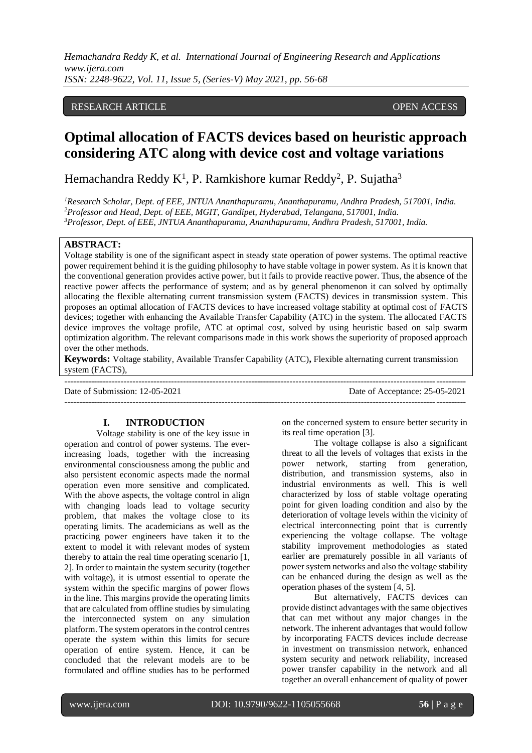## RESEARCH ARTICLE **CONSERVERS**

# **Optimal allocation of FACTS devices based on heuristic approach considering ATC along with device cost and voltage variations**

Hemachandra Reddy  $K^1$ , P. Ramkishore kumar Reddy<sup>2</sup>, P. Sujatha<sup>3</sup>

*<sup>1</sup>Research Scholar, Dept. of EEE, JNTUA Ananthapuramu, Ananthapuramu, Andhra Pradesh, 517001, India. <sup>2</sup>Professor and Head, Dept. of EEE, MGIT, Gandipet, Hyderabad, Telangana, 517001, India. <sup>3</sup>Professor, Dept. of EEE, JNTUA Ananthapuramu, Ananthapuramu, Andhra Pradesh, 517001, India.* 

## **ABSTRACT:**

Voltage stability is one of the significant aspect in steady state operation of power systems. The optimal reactive power requirement behind it is the guiding philosophy to have stable voltage in power system. As it is known that the conventional generation provides active power, but it fails to provide reactive power. Thus, the absence of the reactive power affects the performance of system; and as by general phenomenon it can solved by optimally allocating the flexible alternating current transmission system (FACTS) devices in transmission system. This proposes an optimal allocation of FACTS devices to have increased voltage stability at optimal cost of FACTS devices; together with enhancing the Available Transfer Capability (ATC) in the system. The allocated FACTS device improves the voltage profile, ATC at optimal cost, solved by using heuristic based on salp swarm optimization algorithm. The relevant comparisons made in this work shows the superiority of proposed approach over the other methods.

**Keywords:** Voltage stability, Available Transfer Capability (ATC)**,** Flexible alternating current transmission system (FACTS),

--------------------------------------------------------------------------------------------------------------------------------------- Date of Submission: 12-05-2021 Date of Acceptance: 25-05-2021 ---------------------------------------------------------------------------------------------------------------------------------------

# **I. INTRODUCTION**

Voltage stability is one of the key issue in operation and control of power systems. The everincreasing loads, together with the increasing environmental consciousness among the public and also persistent economic aspects made the normal operation even more sensitive and complicated. With the above aspects, the voltage control in align with changing loads lead to voltage security problem, that makes the voltage close to its operating limits. The academicians as well as the practicing power engineers have taken it to the extent to model it with relevant modes of system thereby to attain the real time operating scenario [1, 2]. In order to maintain the system security (together with voltage), it is utmost essential to operate the system within the specific margins of power flows in the line. This margins provide the operating limits that are calculated from offline studies by simulating the interconnected system on any simulation platform. The system operators in the control centres operate the system within this limits for secure operation of entire system. Hence, it can be concluded that the relevant models are to be formulated and offline studies has to be performed

on the concerned system to ensure better security in its real time operation [3].

The voltage collapse is also a significant threat to all the levels of voltages that exists in the power network, starting from generation, distribution, and transmission systems, also in industrial environments as well. This is well characterized by loss of stable voltage operating point for given loading condition and also by the deterioration of voltage levels within the vicinity of electrical interconnecting point that is currently experiencing the voltage collapse. The voltage stability improvement methodologies as stated earlier are prematurely possible in all variants of power system networks and also the voltage stability can be enhanced during the design as well as the operation phases of the system [4, 5].

But alternatively, FACTS devices can provide distinct advantages with the same objectives that can met without any major changes in the network. The inherent advantages that would follow by incorporating FACTS devices include decrease in investment on transmission network, enhanced system security and network reliability, increased power transfer capability in the network and all together an overall enhancement of quality of power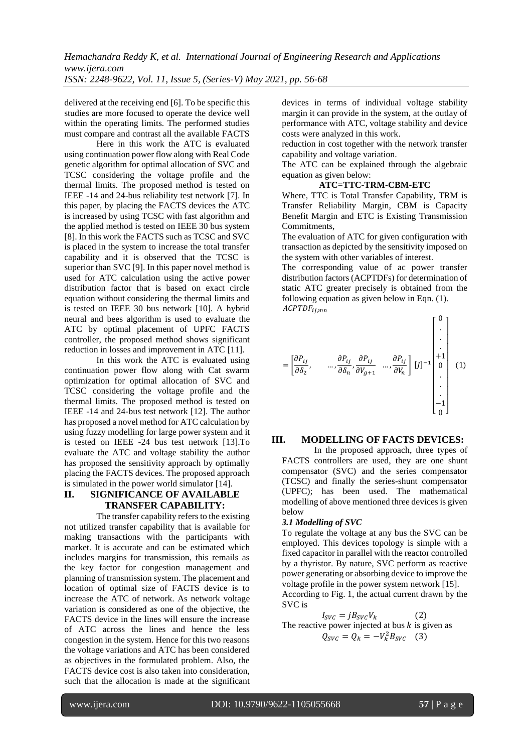delivered at the receiving end [6]. To be specific this studies are more focused to operate the device well within the operating limits. The performed studies must compare and contrast all the available FACTS

Here in this work the ATC is evaluated using continuation power flow along with Real Code genetic algorithm for optimal allocation of SVC and TCSC considering the voltage profile and the thermal limits. The proposed method is tested on IEEE -14 and 24-bus reliability test network [7]. In this paper, by placing the FACTS devices the ATC is increased by using TCSC with fast algorithm and the applied method is tested on IEEE 30 bus system [8]. In this work the FACTS such as TCSC and SVC is placed in the system to increase the total transfer capability and it is observed that the TCSC is superior than SVC [9]. In this paper novel method is used for ATC calculation using the active power distribution factor that is based on exact circle equation without considering the thermal limits and is tested on IEEE 30 bus network [10]. A hybrid neural and bees algorithm is used to evaluate the ATC by optimal placement of UPFC FACTS controller, the proposed method shows significant reduction in losses and improvement in ATC [11].

In this work the ATC is evaluated using continuation power flow along with Cat swarm optimization for optimal allocation of SVC and TCSC considering the voltage profile and the thermal limits. The proposed method is tested on IEEE -14 and 24-bus test network [12]. The author has proposed a novel method for ATC calculation by using fuzzy modelling for large power system and it is tested on IEEE -24 bus test network [13].To evaluate the ATC and voltage stability the author has proposed the sensitivity approach by optimally placing the FACTS devices. The proposed approach is simulated in the power world simulator [14].

# **II. SIGNIFICANCE OF AVAILABLE TRANSFER CAPABILITY:**

The transfer capability refers to the existing not utilized transfer capability that is available for making transactions with the participants with market. It is accurate and can be estimated which includes margins for transmission, this remails as the key factor for congestion management and planning of transmission system. The placement and location of optimal size of FACTS device is to increase the ATC of network. As network voltage variation is considered as one of the objective, the FACTS device in the lines will ensure the increase of ATC across the lines and hence the less congestion in the system. Hence for this two reasons the voltage variations and ATC has been considered as objectives in the formulated problem. Also, the FACTS device cost is also taken into consideration, such that the allocation is made at the significant

devices in terms of individual voltage stability margin it can provide in the system, at the outlay of performance with ATC, voltage stability and device costs were analyzed in this work.

reduction in cost together with the network transfer capability and voltage variation.

The ATC can be explained through the algebraic equation as given below:

## **ATC=TTC-TRM-CBM-ETC**

Where, TTC is Total Transfer Capability, TRM is Transfer Reliability Margin, CBM is Capacity Benefit Margin and ETC is Existing Transmission Commitments,

The evaluation of ATC for given configuration with transaction as depicted by the sensitivity imposed on the system with other variables of interest.

The corresponding value of ac power transfer distribution factors (ACPTDFs) for determination of static ATC greater precisely is obtained from the following equation as given below in Eqn. (1).  $ACPTDF_{i,j,mn}$ 

= [ <sup>2</sup> , … , , +1 … , ] [] −1 [ 0 . . . +1 0 . . . −1 0 ] (1)

## **III. MODELLING OF FACTS DEVICES:**

In the proposed approach, three types of FACTS controllers are used, they are one shunt compensator (SVC) and the series compensator (TCSC) and finally the series-shunt compensator (UPFC); has been used. The mathematical modelling of above mentioned three devices is given below

## *3.1 Modelling of SVC*

To regulate the voltage at any bus the SVC can be employed. This devices topology is simple with a fixed capacitor in parallel with the reactor controlled by a thyristor. By nature, SVC perform as reactive power generating or absorbing device to improve the voltage profile in the power system network [15]. According to Fig. 1, the actual current drawn by the

SVC is  
\n
$$
I_{SVC} = jB_{SVC}V_k
$$
\nThe reactive power injected at bus k is given as  
\n
$$
Q_{SVC} = Q_k = -V_k^2 B_{SVC}
$$
 (3)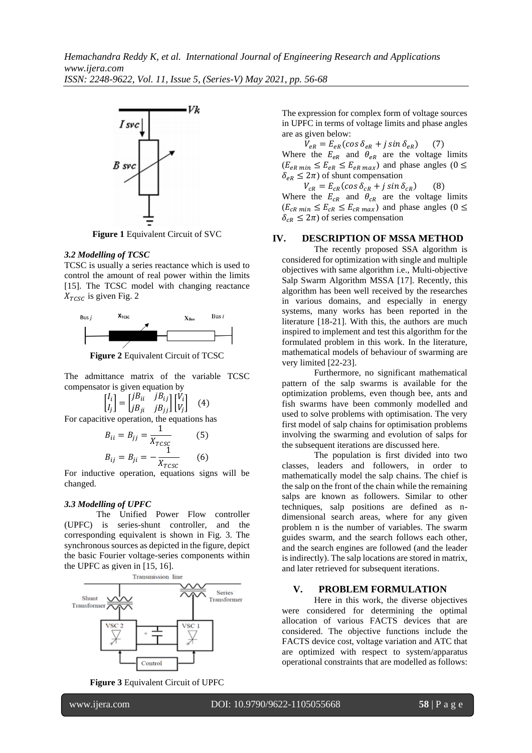

**Figure 1** Equivalent Circuit of SVC

#### *3.2 Modelling of TCSC*

TCSC is usually a series reactance which is used to control the amount of real power within the limits [15]. The TCSC model with changing reactance  $X_{TCSC}$  is given Fig. 2



**Figure 2** Equivalent Circuit of TCSC

The admittance matrix of the variable TCSC compensator is given equation by

$$
\begin{bmatrix} I_i \\ I_j \end{bmatrix} = \begin{bmatrix} jB_{ii} & jB_{ij} \\ jB_{ji} & jB_{jj} \end{bmatrix} \begin{bmatrix} V_i \\ V_j \end{bmatrix} \quad (4)
$$

For capacitive operation, the equations has

$$
B_{ii} = B_{jj} = \frac{1}{X_{TCSC}}
$$
 (5)  

$$
B_{ij} = B_{ji} = -\frac{1}{X_{TCSC}}
$$
 (6)

For inductive operation, equations signs will be changed.

## *3.3 Modelling of UPFC*

The Unified Power Flow controller (UPFC) is series-shunt controller, and the corresponding equivalent is shown in Fig. 3. The synchronous sources as depicted in the figure, depict the basic Fourier voltage-series components within the UPFC as given in [15, 16].



**Figure 3** Equivalent Circuit of UPFC

The expression for complex form of voltage sources in UPFC in terms of voltage limits and phase angles are as given below:

 $V_{eR} = E_{eR} (cos \delta_{eR} + j sin \delta_{eR})$ Where the  $E_{eR}$  and  $\theta_{eR}$  are the voltage limits  $(E_{eR min} \le E_{eR} \le E_{eR max})$  and phase angles  $(0 \le$  $\delta_{eR} \leq 2\pi$ ) of shunt compensation

 $V_{cR} = E_{cR} (cos \delta_{cR} + j sin \delta_{cR})$  (8) Where the  $E_{CR}$  and  $\theta_{CR}$  are the voltage limits  $(E_{cR min} \le E_{cR} \le E_{cR max})$  and phase angles  $(0 \le$  $\delta_{cR} \leq 2\pi$ ) of series compensation

# **IV. DESCRIPTION OF MSSA METHOD**

The recently proposed SSA algorithm is considered for optimization with single and multiple objectives with same algorithm i.e., Multi-objective Salp Swarm Algorithm MSSA [17]. Recently, this algorithm has been well received by the researches in various domains, and especially in energy systems, many works has been reported in the literature [18-21]. With this, the authors are much inspired to implement and test this algorithm for the formulated problem in this work. In the literature, mathematical models of behaviour of swarming are very limited [22-23].

Furthermore, no significant mathematical pattern of the salp swarms is available for the optimization problems, even though bee, ants and fish swarms have been commonly modelled and used to solve problems with optimisation. The very first model of salp chains for optimisation problems involving the swarming and evolution of salps for the subsequent iterations are discussed here.

The population is first divided into two classes, leaders and followers, in order to mathematically model the salp chains. The chief is the salp on the front of the chain while the remaining salps are known as followers. Similar to other techniques, salp positions are defined as ndimensional search areas, where for any given problem n is the number of variables. The swarm guides swarm, and the search follows each other, and the search engines are followed (and the leader is indirectly). The salp locations are stored in matrix, and later retrieved for subsequent iterations.

#### **V. PROBLEM FORMULATION**

Here in this work, the diverse objectives were considered for determining the optimal allocation of various FACTS devices that are considered. The objective functions include the FACTS device cost, voltage variation and ATC that are optimized with respect to system/apparatus operational constraints that are modelled as follows: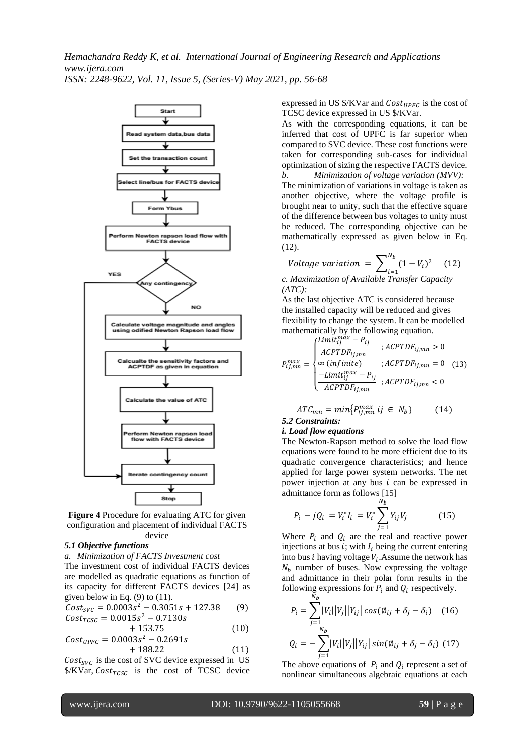

**Figure 4** Procedure for evaluating ATC for given configuration and placement of individual FACTS device

## *5.1 Objective functions*

*a. Minimization of FACTS Investment cost*

The investment cost of individual FACTS devices are modelled as quadratic equations as function of its capacity for different FACTS devices [24] as given below in Eq.  $(9)$  to  $(11)$ .

$$
Cost_{SVC} = 0.0003s^2 - 0.3051s + 127.38
$$
 (9)  
\n
$$
Cost_{TCSC} = 0.0015s^2 - 0.7130s
$$

$$
+ 153.75 \t(10)
$$
  
\n
$$
Cost_{UPFC} = 0.0003s^2 - 0.2691s
$$
  
\n
$$
+ 188.22 \t(11)
$$

 $Cost_{SVC}$  is the cost of SVC device expressed in US  $\frac{S}{KVar}$ ,  $Cost_{TCSC}$  is the cost of TCSC device expressed in US  $\frac{K}{V}$ ar and  $Cost_{UPFC}$  is the cost of TCSC device expressed in US \$/KVar.

As with the corresponding equations, it can be inferred that cost of UPFC is far superior when compared to SVC device. These cost functions were taken for corresponding sub-cases for individual optimization of sizing the respective FACTS device. *b. Minimization of voltage variation (MVV):*

The minimization of variations in voltage is taken as another objective, where the voltage profile is brought near to unity, such that the effective square of the difference between bus voltages to unity must be reduced. The corresponding objective can be mathematically expressed as given below in Eq. (12).

$$
Voltage variation = \sum_{i=1}^{N_b} (1 - V_i)^2 \quad (12)
$$

*c. Maximization of Available Transfer Capacity (ATC):*

As the last objective ATC is considered because the installed capacity will be reduced and gives flexibility to change the system. It can be modelled mathematically by the following equation.

$$
P_{ij,mn}^{max} = \begin{cases} \frac{Limit_{ij}^{max} - P_{ij}}{ACPTDF_{ij,mn}} & ; ACFTDF_{ij,mn} > 0\\ \infty (infinite) & ; ACFTDF_{ij,mn} = 0\\ \frac{-Limit_{ij}^{max} - P_{ij}}{ACPTDF_{ij,mn}} & ; ACFTDF_{ij,mn} < 0 \end{cases}
$$
(13)

$$
ATC_{mn} = min\{P_{ij,mn}^{max} \; ij \in N_b\} \tag{14}
$$
  
5.2 Constraints:

# *i. Load flow equations*

The Newton-Rapson method to solve the load flow equations were found to be more efficient due to its quadratic convergence characteristics; and hence applied for large power system networks. The net power injection at any bus  $i$  can be expressed in admittance form as follows [15]

$$
P_i - jQ_i = V_i^* I_i = V_i^* \sum_{j=1}^{N_b} Y_{ij} V_j
$$
 (15)

Where  $P_i$  and  $Q_i$  are the real and reactive power injections at bus  $i$ ; with  $I_i$  being the current entering into bus *i* having voltage  $V_i$ . Assume the network has  $N_b$  number of buses. Now expressing the voltage and admittance in their polar form results in the following expressions for  $P_i$  and  $Q_i$  respectively.

$$
P_i = \sum_{j=1}^{N_b} |V_i||V_j||Y_{ij}| \cos(\phi_{ij} + \delta_j - \delta_i)
$$
 (16)  

$$
Q_i = -\sum_{j=1}^{N_b} |V_i||V_j||Y_{ij}| \sin(\phi_{ij} + \delta_j - \delta_i)
$$
 (17)

The above equations of  $P_i$  and  $Q_i$  represent a set of nonlinear simultaneous algebraic equations at each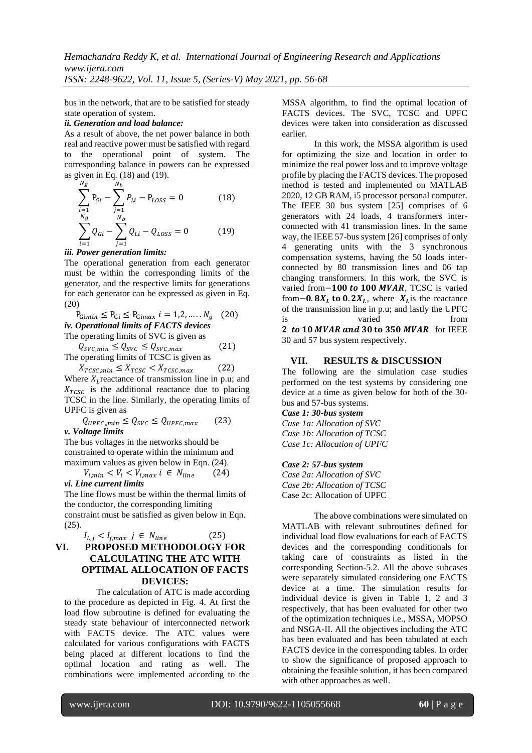bus in the network, that are to be satisfied for steady state operation of system.

## *ii. Generation and load balance:*

As a result of above, the net power balance in both real and reactive power must be satisfied with regard to the operational point of system. The corresponding balance in powers can be expressed as given in Eq. (18) and (19).

$$
\sum_{i=1}^{N_g} P_{Gi} - \sum_{j=1}^{N_b} P_{Li} - P_{Loss} = 0
$$
 (18)  

$$
\sum_{i=1}^{N_g} Q_{Gi} - \sum_{j=1}^{N_b} Q_{Li} - Q_{Loss} = 0
$$
 (19)

#### *iii. Power generation limits:*

The operational generation from each generator must be within the corresponding limits of the generator, and the respective limits for generations for each generator can be expressed as given in Eq. (20)

$$
P_{Gimin} \le P_{Gi} \le P_{Gimax} \quad i = 1, 2, \dots, N_g \quad (20)
$$
\n*iv. Operational limits of FACTS devices*\nThe operating limits of SVC is given as

 $Q_{SVC,min} \leq Q_{SVC} \leq Q_{SVC,max}$  (21) The operating limits of TCSC is given as

 $X_{TCSC,min} \leq X_{TCSC} < X_{TCSC,max}$  (22) Where  $X_L$  reactance of transmission line in p.u; and  $X_{TCSC}$  is the additional reactance due to placing TCSC in the line. Similarly, the operating limits of UPFC is given as

$$
Q_{UPFC,min} \leq Q_{SVC} \leq Q_{UPFC,max}
$$
 (23)  
*v. Voltage limits*

The bus voltages in the networks should be constrained to operate within the minimum and maximum values as given below in Eqn. (24).

$$
V_{i,min} < V_i < V_{i,max} \quad i \in N_{line} \tag{24}
$$
\n*vi. Line current limits*

The line flows must be within the thermal limits of the conductor, the corresponding limiting constraint must be satisfied as given below in Eqn.  $(25)$ .

**VI.** 
$$
I_{L,j} < I_{j,max} \, j \in N_{line}
$$
 (25) **PROPOSED METHODLOGY FOR CALCULATING THE ATC WITH OPTIMAL ALLOCATION OF FACTS DEVICES:**

The calculation of ATC is made according to the procedure as depicted in Fig. 4. At first the load flow subroutine is defined for evaluating the steady state behaviour of interconnected network with FACTS device. The ATC values were calculated for various configurations with FACTS being placed at different locations to find the optimal location and rating as well. The combinations were implemented according to the MSSA algorithm, to find the optimal location of FACTS devices. The SVC, TCSC and UPFC devices were taken into consideration as discussed earlier.

In this work, the MSSA algorithm is used for optimizing the size and location in order to minimize the real power loss and to improve voltage profile by placing the FACTS devices. The proposed method is tested and implemented on MATLAB 2020, 12 GB RAM, i5 processor personal computer. The IEEE 30 bus system [25] comprises of 6 generators with 24 loads, 4 transformers interconnected with 41 transmission lines. In the same way, the IEEE 57-bus system [26] comprises of only 4 generating units with the 3 synchronous compensation systems, having the 50 loads interconnected by 80 transmission lines and 06 tap changing transformers. In this work, the SVC is varied from−100 to 100 MVAR, TCSC is varied from – 0.  $8X_L$  to 0.  $2X_L$ , where  $X_L$  is the reactance of the transmission line in p.u; and lastly the UPFC is varied from 2 to 10 MVAR and 30 to 350 MVAR for IEEE 30 and 57 bus system respectively.

## **VII. RESULTS & DISCUSSION**

The following are the simulation case studies performed on the test systems by considering one device at a time as given below for both of the 30 bus and 57-bus systems.

*Case 1: 30-bus system*

*Case 1a: Allocation of SVC Case 1b: Allocation of TCSC Case 1c: Allocation of UPFC*

#### *Case 2: 57-bus system*

*Case 2a: Allocation of SVC Case 2b: Allocation of TCSC* Case 2c: Allocation of UPFC

The above combinations were simulated on MATLAB with relevant subroutines defined for individual load flow evaluations for each of FACTS devices and the corresponding conditionals for taking care of constraints as listed in the corresponding Section-5.2. All the above subcases were separately simulated considering one FACTS device at a time. The simulation results for individual device is given in Table 1, 2 and 3 respectively, that has been evaluated for other two of the optimization techniques i.e., MSSA, MOPSO and NSGA-II. All the objectives including the ATC has been evaluated and has been tabulated at each FACTS device in the corresponding tables. In order to show the significance of proposed approach to obtaining the feasible solution, it has been compared with other approaches as well.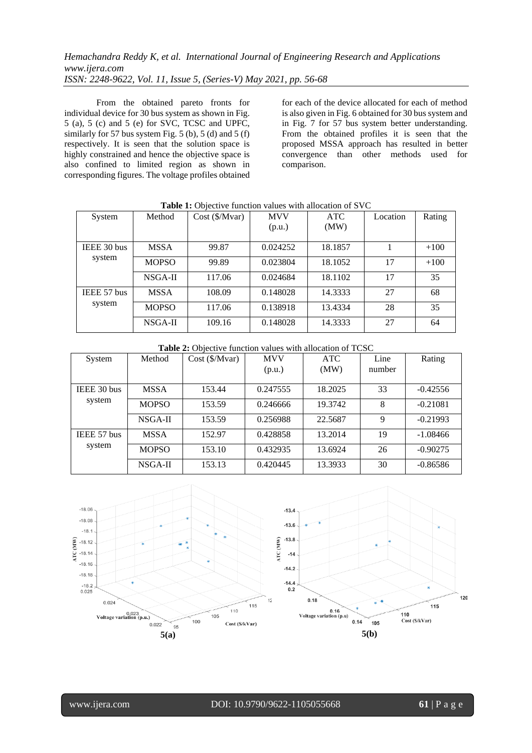From the obtained pareto fronts for individual device for 30 bus system as shown in Fig. 5 (a), 5 (c) and 5 (e) for SVC, TCSC and UPFC, similarly for 57 bus system Fig. 5 (b), 5 (d) and 5 (f) respectively. It is seen that the solution space is highly constrained and hence the objective space is also confined to limited region as shown in corresponding figures. The voltage profiles obtained

for each of the device allocated for each of method is also given in Fig. 6 obtained for 30 bus system and in Fig. 7 for 57 bus system better understanding. From the obtained profiles it is seen that the proposed MSSA approach has resulted in better convergence than other methods used for comparison.

| System                | Method       | $Cost$ (\$/Mvar) | <b>MVV</b><br>(p.u.) | <b>ATC</b><br>(MW) | Location | Rating |
|-----------------------|--------------|------------------|----------------------|--------------------|----------|--------|
| IEEE 30 bus<br>system | <b>MSSA</b>  | 99.87            | 0.024252             | 18.1857            |          | $+100$ |
|                       | <b>MOPSO</b> | 99.89            | 0.023804             | 18.1052            | 17       | $+100$ |
|                       | $NSGA-II$    | 117.06           | 0.024684             | 18.1102            | 17       | 35     |
| IEEE 57 bus<br>system | <b>MSSA</b>  | 108.09           | 0.148028             | 14.3333            | 27       | 68     |
|                       | <b>MOPSO</b> | 117.06           | 0.138918             | 13.4334            | 28       | 35     |
|                       | $NSGA-II$    | 109.16           | 0.148028             | 14.3333            | 27       | 64     |

## **Table 1:** Objective function values with allocation of SVC

**Table 2:** Objective function values with allocation of TCSC

| System                | Method       | $Cost$ (\$/Mvar) | <b>MVV</b> | <b>ATC</b> | Line   | Rating     |
|-----------------------|--------------|------------------|------------|------------|--------|------------|
|                       |              |                  | (p.u.)     | (MW)       | number |            |
| IEEE 30 bus<br>system | <b>MSSA</b>  | 153.44           | 0.247555   | 18.2025    | 33     | $-0.42556$ |
|                       | <b>MOPSO</b> | 153.59           | 0.246666   | 19.3742    | 8      | $-0.21081$ |
|                       | NSGA-II      | 153.59           | 0.256988   | 22.5687    | 9      | $-0.21993$ |
| IEEE 57 bus<br>system | <b>MSSA</b>  | 152.97           | 0.428858   | 13.2014    | 19     | $-1.08466$ |
|                       | <b>MOPSO</b> | 153.10           | 0.432935   | 13.6924    | 26     | $-0.90275$ |
|                       | NSGA-II      | 153.13           | 0.420445   | 13.3933    | 30     | $-0.86586$ |

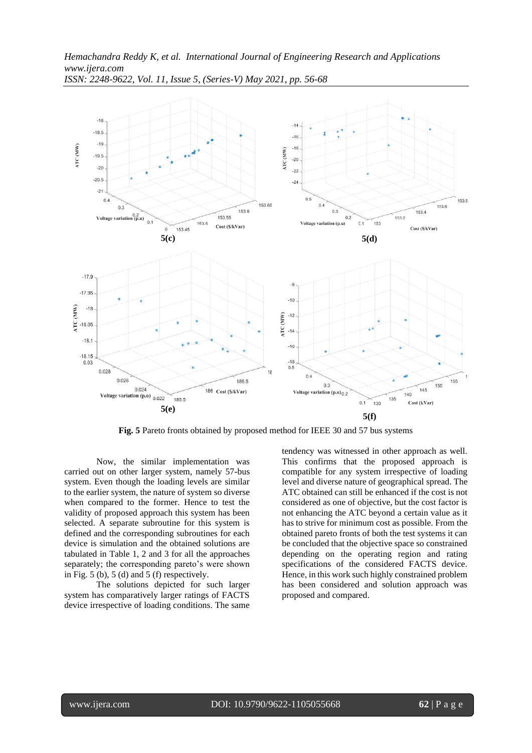

**Fig. 5** Pareto fronts obtained by proposed method for IEEE 30 and 57 bus systems

Now, the similar implementation was carried out on other larger system, namely 57-bus system. Even though the loading levels are similar to the earlier system, the nature of system so diverse when compared to the former. Hence to test the validity of proposed approach this system has been selected. A separate subroutine for this system is defined and the corresponding subroutines for each device is simulation and the obtained solutions are tabulated in Table 1, 2 and 3 for all the approaches separately; the corresponding pareto's were shown in Fig. 5 (b), 5 (d) and 5 (f) respectively.

The solutions depicted for such larger system has comparatively larger ratings of FACTS device irrespective of loading conditions. The same

tendency was witnessed in other approach as well. This confirms that the proposed approach is compatible for any system irrespective of loading level and diverse nature of geographical spread. The ATC obtained can still be enhanced if the cost is not considered as one of objective, but the cost factor is not enhancing the ATC beyond a certain value as it has to strive for minimum cost as possible. From the obtained pareto fronts of both the test systems it can be concluded that the objective space so constrained depending on the operating region and rating specifications of the considered FACTS device. Hence, in this work such highly constrained problem has been considered and solution approach was proposed and compared.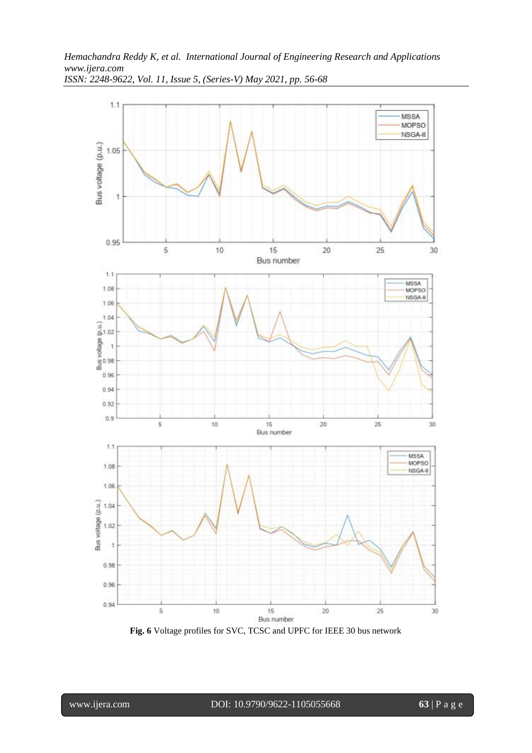



**Fig. 6** Voltage profiles for SVC, TCSC and UPFC for IEEE 30 bus network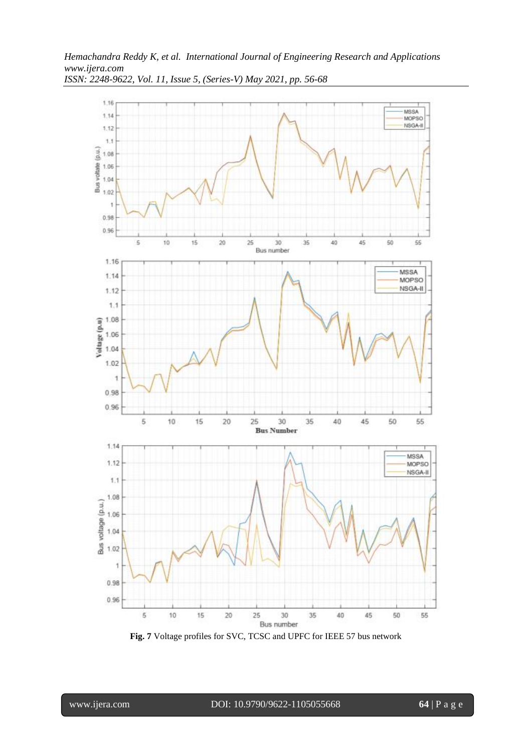

**Fig. 7** Voltage profiles for SVC, TCSC and UPFC for IEEE 57 bus network

l

www.ijera.com DOI: 10.9790/9622-1105055668 **64** | P a g e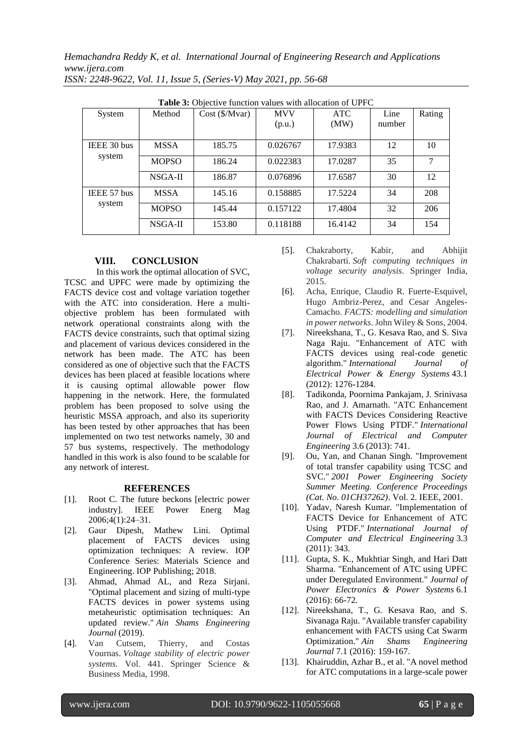*Hemachandra Reddy K, et al. International Journal of Engineering Research and Applications www.ijera.com*

| Table 3: Objective function values with allocation of UPFC |              |                  |            |            |        |        |
|------------------------------------------------------------|--------------|------------------|------------|------------|--------|--------|
| System                                                     | Method       | $Cost$ (\$/Mvar) | <b>MVV</b> | <b>ATC</b> | Line   | Rating |
|                                                            |              |                  | (p.u.)     | (MW)       | number |        |
|                                                            |              |                  |            |            |        |        |
| IEEE 30 bus<br>system                                      | <b>MSSA</b>  | 185.75           | 0.026767   | 17.9383    | 12     | 10     |
|                                                            | <b>MOPSO</b> | 186.24           | 0.022383   | 17.0287    | 35     | 7      |
|                                                            | NSGA-II      | 186.87           | 0.076896   | 17.6587    | 30     | 12     |
| IEEE 57 bus<br>system                                      | <b>MSSA</b>  | 145.16           | 0.158885   | 17.5224    | 34     | 208    |
|                                                            | <b>MOPSO</b> | 145.44           | 0.157122   | 17.4804    | 32     | 206    |
|                                                            | NSGA-II      | 153.80           | 0.118188   | 16.4142    | 34     | 154    |

*ISSN: 2248-9622, Vol. 11, Issue 5, (Series-V) May 2021, pp. 56-68*

# **VIII. CONCLUSION**

In this work the optimal allocation of SVC, TCSC and UPFC were made by optimizing the FACTS device cost and voltage variation together with the ATC into consideration. Here a multiobjective problem has been formulated with network operational constraints along with the FACTS device constraints, such that optimal sizing and placement of various devices considered in the network has been made. The ATC has been considered as one of objective such that the FACTS devices has been placed at feasible locations where it is causing optimal allowable power flow happening in the network. Here, the formulated problem has been proposed to solve using the heuristic MSSA approach, and also its superiority has been tested by other approaches that has been implemented on two test networks namely, 30 and 57 bus systems, respectively. The methodology handled in this work is also found to be scalable for any network of interest.

## **REFERENCES**

- [1]. Root C. The future beckons [electric power industry]. IEEE Power Energ Mag 2006;4(1):24–31.
- [2]. Gaur Dipesh, Mathew Lini. Optimal placement of FACTS devices using optimization techniques: A review. IOP Conference Series: Materials Science and Engineering. IOP Publishing; 2018.
- [3]. Ahmad, Ahmad AL, and Reza Sirjani. "Optimal placement and sizing of multi-type FACTS devices in power systems using metaheuristic optimisation techniques: An updated review." *Ain Shams Engineering Journal* (2019).
- [4]. Van Cutsem, Thierry, and Costas Vournas. *Voltage stability of electric power systems*. Vol. 441. Springer Science & Business Media, 1998.
- [5]. Chakraborty, Kabir, and Abhijit Chakrabarti. *Soft computing techniques in voltage security analysis*. Springer India, 2015.
- [6]. Acha, Enrique, Claudio R. Fuerte-Esquivel, Hugo Ambriz-Perez, and Cesar Angeles-Camacho. *FACTS: modelling and simulation in power networks*. John Wiley & Sons, 2004.
- [7]. Nireekshana, T., G. Kesava Rao, and S. Siva Naga Raju. "Enhancement of ATC with FACTS devices using real-code genetic algorithm." *International Journal of Electrical Power & Energy Systems* 43.1 (2012): 1276-1284.
- [8]. Tadikonda, Poornima Pankajam, J. Srinivasa Rao, and J. Amarnath. "ATC Enhancement with FACTS Devices Considering Reactive Power Flows Using PTDF." *International Journal of Electrical and Computer Engineering* 3.6 (2013): 741.
- [9]. Ou, Yan, and Chanan Singh. "Improvement of total transfer capability using TCSC and SVC." *2001 Power Engineering Society Summer Meeting. Conference Proceedings (Cat. No. 01CH37262)*. Vol. 2. IEEE, 2001.
- [10]. Yadav, Naresh Kumar. "Implementation of FACTS Device for Enhancement of ATC Using PTDF." *International Journal of Computer and Electrical Engineering* 3.3 (2011): 343.
- [11]. Gupta, S. K., Mukhtiar Singh, and Hari Datt Sharma. "Enhancement of ATC using UPFC under Deregulated Environment." *Journal of Power Electronics & Power Systems* 6.1 (2016): 66-72.
- [12]. Nireekshana, T., G. Kesava Rao, and S. Sivanaga Raju. "Available transfer capability enhancement with FACTS using Cat Swarm Optimization." *Ain Shams Engineering Journal* 7.1 (2016): 159-167.
- [13]. Khairuddin, Azhar B., et al. "A novel method for ATC computations in a large-scale power